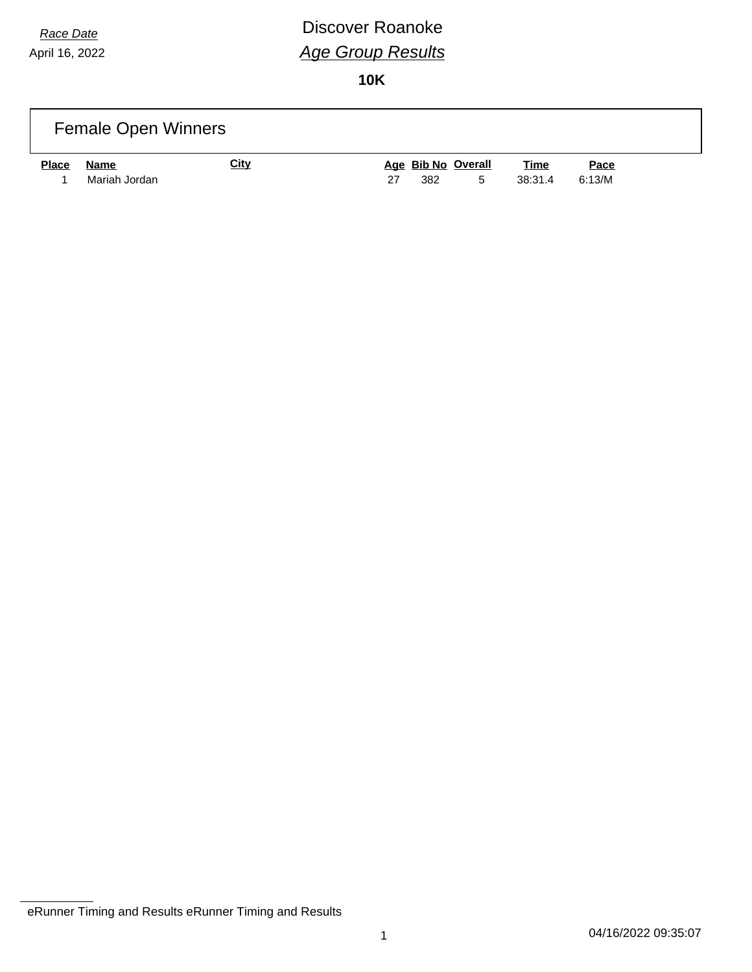# *Race Date* **Discover Roanoke** *Age Group Results*

|              | <b>Female Open Winners</b> |             |    |     |                         |                        |                       |  |
|--------------|----------------------------|-------------|----|-----|-------------------------|------------------------|-----------------------|--|
| <b>Place</b> | Name<br>Mariah Jordan      | <u>City</u> | 27 | 382 | Age Bib No Overall<br>5 | <u>Time</u><br>38:31.4 | <u>Pace</u><br>6:13/M |  |

eRunner Timing and Results eRunner Timing and Results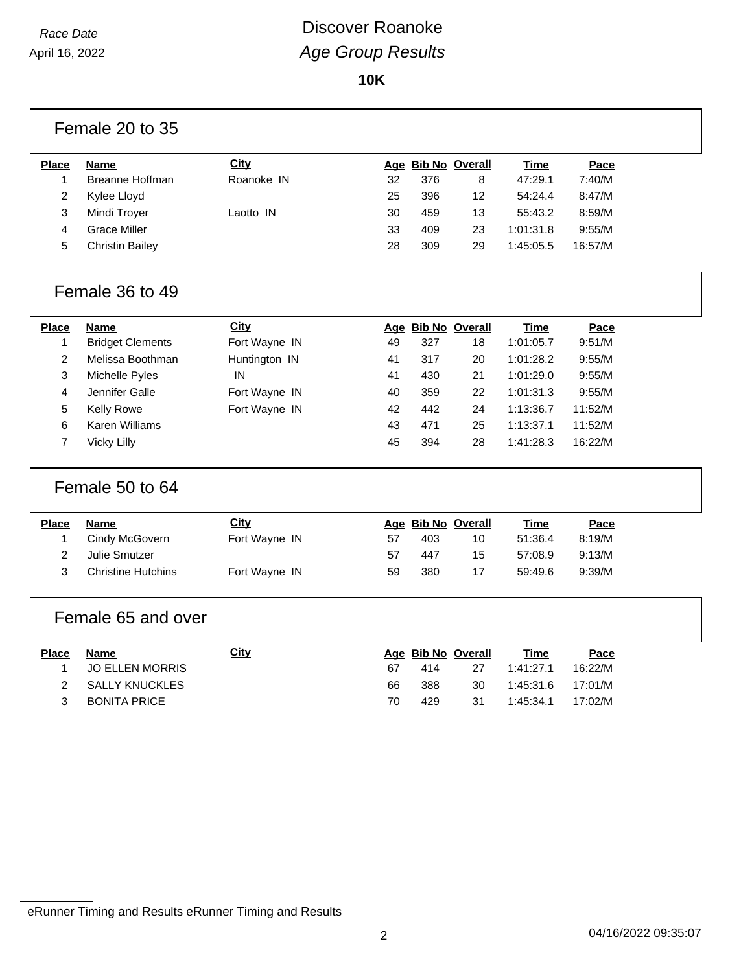### *Race Date* **Discover Roanoke** *Age Group Results*

**10K**

|                | Female 20 to 35           |               |    |     |                    |             |         |  |  |  |
|----------------|---------------------------|---------------|----|-----|--------------------|-------------|---------|--|--|--|
| <b>Place</b>   | Name                      | <b>City</b>   |    |     | Age Bib No Overall | Time        | Pace    |  |  |  |
| 1              | Breanne Hoffman           | Roanoke IN    | 32 | 376 | 8                  | 47:29.1     | 7:40/M  |  |  |  |
| $\overline{c}$ | Kylee Lloyd               |               | 25 | 396 | 12                 | 54:24.4     | 8:47/M  |  |  |  |
| 3              | Mindi Troyer              | Laotto IN     | 30 | 459 | 13                 | 55:43.2     | 8:59/M  |  |  |  |
| 4              | <b>Grace Miller</b>       |               | 33 | 409 | 23                 | 1:01:31.8   | 9:55/M  |  |  |  |
| 5              | <b>Christin Bailey</b>    |               | 28 | 309 | 29                 | 1:45:05.5   | 16:57/M |  |  |  |
|                | Female 36 to 49           |               |    |     |                    |             |         |  |  |  |
| <b>Place</b>   | <b>Name</b>               | City          |    |     | Age Bib No Overall | Time        | Pace    |  |  |  |
| 1              | <b>Bridget Clements</b>   | Fort Wayne IN | 49 | 327 | 18                 | 1:01:05.7   | 9:51/M  |  |  |  |
| $\overline{2}$ | Melissa Boothman          | Huntington IN | 41 | 317 | 20                 | 1:01:28.2   | 9:55/M  |  |  |  |
| 3              | Michelle Pyles            | IN            | 41 | 430 | 21                 | 1:01:29.0   | 9:55/M  |  |  |  |
| 4              | Jennifer Galle            | Fort Wayne IN | 40 | 359 | 22                 | 1:01:31.3   | 9:55/M  |  |  |  |
| 5              | <b>Kelly Rowe</b>         | Fort Wayne IN | 42 | 442 | 24                 | 1:13:36.7   | 11:52/M |  |  |  |
| 6              | <b>Karen Williams</b>     |               | 43 | 471 | 25                 | 1:13:37.1   | 11:52/M |  |  |  |
| $\overline{7}$ | <b>Vicky Lilly</b>        |               | 45 | 394 | 28                 | 1:41:28.3   | 16:22/M |  |  |  |
|                | Female 50 to 64           |               |    |     |                    |             |         |  |  |  |
| <b>Place</b>   | <b>Name</b>               | City          |    |     | Age Bib No Overall | <b>Time</b> | Pace    |  |  |  |
| $\mathbf{1}$   | Cindy McGovern            | Fort Wayne IN | 57 | 403 | 10                 | 51:36.4     | 8:19/M  |  |  |  |
| $\overline{2}$ | <b>Julie Smutzer</b>      |               | 57 | 447 | 15                 | 57:08.9     | 9:13/M  |  |  |  |
| 3              | <b>Christine Hutchins</b> | Fort Wayne IN | 59 | 380 | 17                 | 59:49.6     | 9:39/M  |  |  |  |
|                | Female 65 and over        |               |    |     |                    |             |         |  |  |  |
| <b>Place</b>   | <b>Name</b>               | <b>City</b>   |    |     | Age Bib No Overall | <b>Time</b> | Pace    |  |  |  |
| 1              | <b>JO ELLEN MORRIS</b>    |               | 67 | 414 | 27                 | 1:41:27.1   | 16:22/M |  |  |  |
| $\overline{2}$ | <b>SALLY KNUCKLES</b>     |               | 66 | 388 | 30                 | 1:45:31.6   | 17:01/M |  |  |  |
| 3              | <b>BONITA PRICE</b>       |               | 70 | 429 | 31                 | 1:45:34.1   | 17:02/M |  |  |  |
|                |                           |               |    |     |                    |             |         |  |  |  |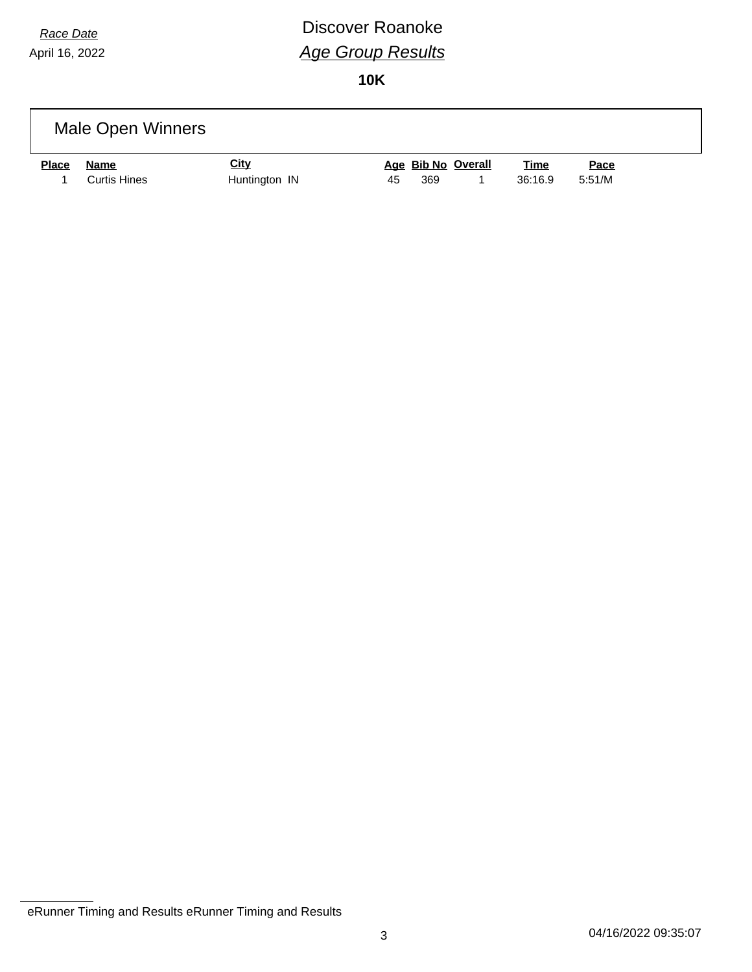# *Race Date* **Discover Roanoke** *Age Group Results*

|              | Male Open Winners |             |  |                    |             |             |  |
|--------------|-------------------|-------------|--|--------------------|-------------|-------------|--|
|              |                   |             |  |                    |             |             |  |
| <b>Place</b> | <b>Name</b>       | <u>City</u> |  | Age Bib No Overall | <u>Time</u> | <u>Pace</u> |  |

eRunner Timing and Results eRunner Timing and Results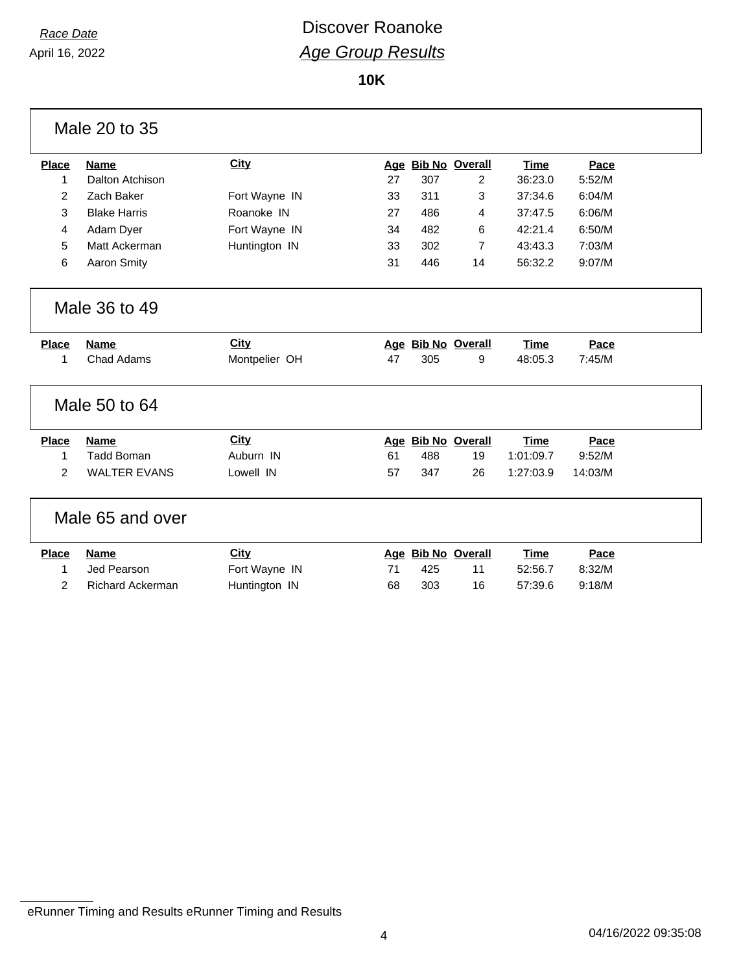### *Race Date* **Discover Roanoke** *Age Group Results*

**10K**

|                | Male 20 to 35           |               |    |     |                    |             |         |  |
|----------------|-------------------------|---------------|----|-----|--------------------|-------------|---------|--|
| <b>Place</b>   | <b>Name</b>             | City          |    |     | Age Bib No Overall | <b>Time</b> | Pace    |  |
| 1              | Dalton Atchison         |               | 27 | 307 | $\overline{2}$     | 36:23.0     | 5:52/M  |  |
| 2              | Zach Baker              | Fort Wayne IN | 33 | 311 | 3                  | 37:34.6     | 6:04/M  |  |
| 3              | <b>Blake Harris</b>     | Roanoke IN    | 27 | 486 | 4                  | 37:47.5     | 6:06/M  |  |
| 4              | Adam Dyer               | Fort Wayne IN | 34 | 482 | 6                  | 42:21.4     | 6:50/M  |  |
| 5              | Matt Ackerman           | Huntington IN | 33 | 302 | 7                  | 43:43.3     | 7:03/M  |  |
| 6              | <b>Aaron Smity</b>      |               | 31 | 446 | 14                 | 56:32.2     | 9:07/M  |  |
|                | Male 36 to 49           |               |    |     |                    |             |         |  |
| <b>Place</b>   | <b>Name</b>             | <b>City</b>   |    |     | Age Bib No Overall | <b>Time</b> | Pace    |  |
| 1              | <b>Chad Adams</b>       | Montpelier OH | 47 | 305 | 9                  | 48:05.3     | 7:45/M  |  |
|                | Male 50 to 64           |               |    |     |                    |             |         |  |
| <b>Place</b>   | <b>Name</b>             | City          |    |     | Age Bib No Overall | <b>Time</b> | Pace    |  |
| 1              | <b>Tadd Boman</b>       | Auburn IN     | 61 | 488 | 19                 | 1:01:09.7   | 9:52/M  |  |
| $\overline{2}$ | <b>WALTER EVANS</b>     | Lowell IN     | 57 | 347 | 26                 | 1:27:03.9   | 14:03/M |  |
|                | Male 65 and over        |               |    |     |                    |             |         |  |
| <b>Place</b>   | <b>Name</b>             | City          |    |     | Age Bib No Overall | <b>Time</b> | Pace    |  |
| 1              | Jed Pearson             | Fort Wayne IN | 71 | 425 | 11                 | 52:56.7     | 8:32/M  |  |
| $\overline{2}$ | <b>Richard Ackerman</b> | Huntington IN | 68 | 303 | 16                 | 57:39.6     | 9:18/M  |  |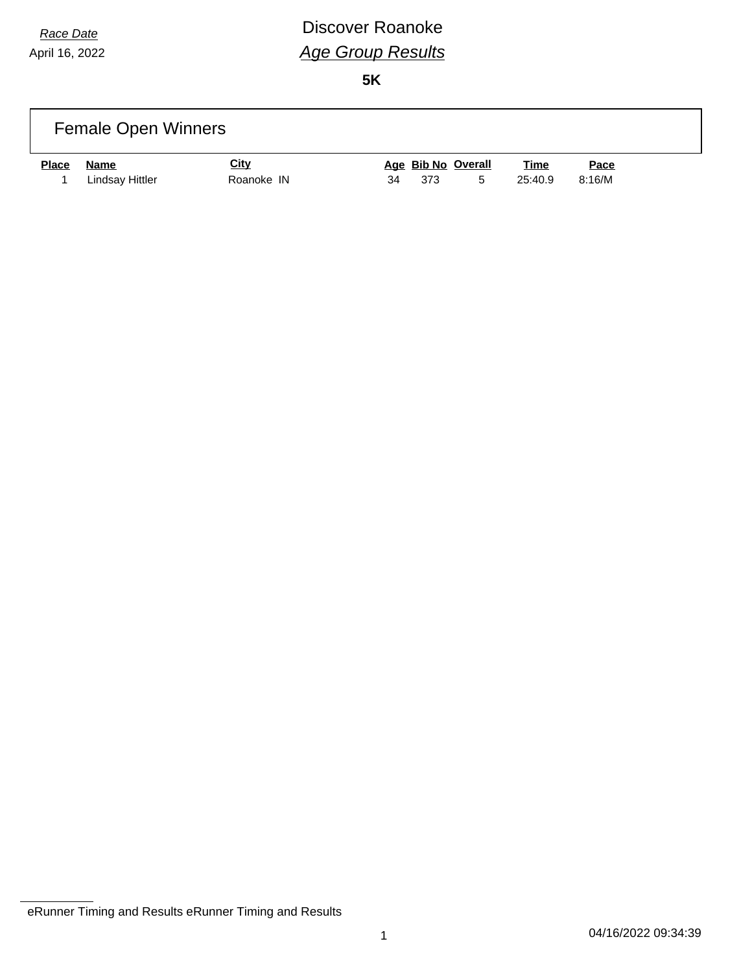# *Race Date* **Discover Roanoke** *Age Group Results*

|              | <b>Female Open Winners</b> |                           |    |     |                         |                        |                |  |
|--------------|----------------------------|---------------------------|----|-----|-------------------------|------------------------|----------------|--|
| <b>Place</b> | Name<br>Lindsay Hittler    | <u>City</u><br>Roanoke IN | 34 | 373 | Age Bib No Overall<br>5 | <u>Time</u><br>25:40.9 | Pace<br>8:16/M |  |

eRunner Timing and Results eRunner Timing and Results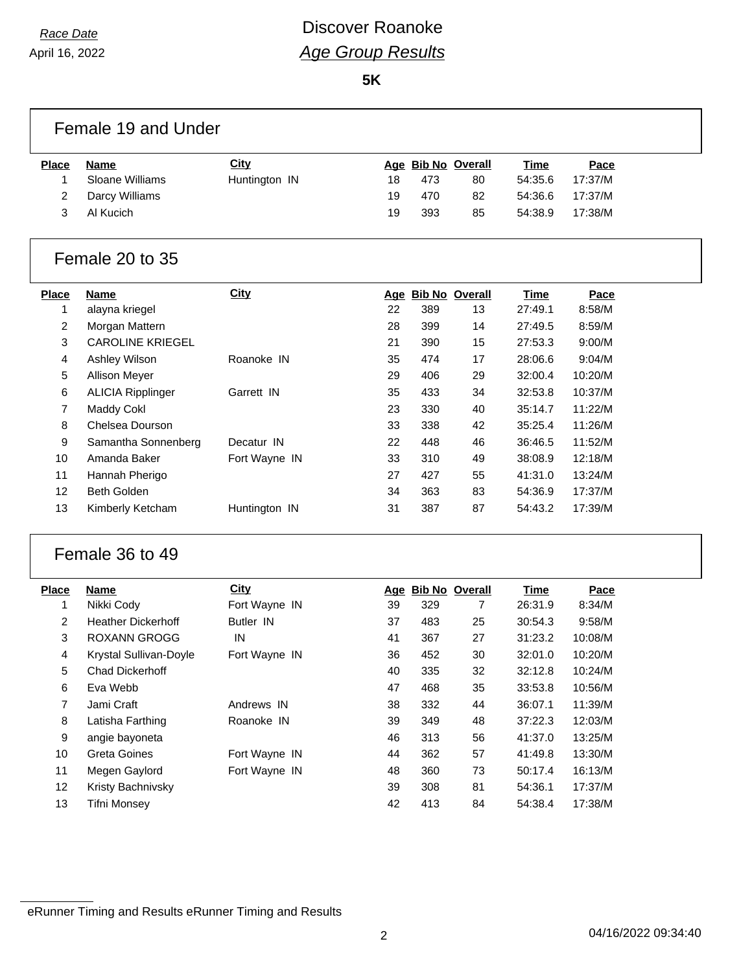### *Race Date* **Discover Roanoke** *Age Group Results*

**5K**

|                | Female 19 and Under       |               |    |     |                    |             |         |  |
|----------------|---------------------------|---------------|----|-----|--------------------|-------------|---------|--|
| <b>Place</b>   | <b>Name</b>               | <b>City</b>   |    |     | Age Bib No Overall | Time        | Pace    |  |
| 1              | Sloane Williams           | Huntington IN | 18 | 473 | 80                 | 54:35.6     | 17:37/M |  |
| 2              | Darcy Williams            |               | 19 | 470 | 82                 | 54:36.6     | 17:37/M |  |
| 3              | Al Kucich                 |               | 19 | 393 | 85                 | 54:38.9     | 17:38/M |  |
|                | Female 20 to 35           |               |    |     |                    |             |         |  |
| <b>Place</b>   | <b>Name</b>               | <b>City</b>   |    |     | Age Bib No Overall | <b>Time</b> | Pace    |  |
| 1              | alayna kriegel            |               | 22 | 389 | 13                 | 27:49.1     | 8:58/M  |  |
| 2              | Morgan Mattern            |               | 28 | 399 | 14                 | 27:49.5     | 8:59/M  |  |
| 3              | <b>CAROLINE KRIEGEL</b>   |               | 21 | 390 | 15                 | 27:53.3     | 9:00/M  |  |
| 4              | Ashley Wilson             | Roanoke IN    | 35 | 474 | 17                 | 28:06.6     | 9:04/M  |  |
| 5              | <b>Allison Meyer</b>      |               | 29 | 406 | 29                 | 32:00.4     | 10:20/M |  |
| 6              | <b>ALICIA Ripplinger</b>  | Garrett IN    | 35 | 433 | 34                 | 32:53.8     | 10:37/M |  |
| 7              | Maddy Cokl                |               | 23 | 330 | 40                 | 35:14.7     | 11:22/M |  |
| 8              | Chelsea Dourson           |               | 33 | 338 | 42                 | 35:25.4     | 11:26/M |  |
| 9              | Samantha Sonnenberg       | Decatur IN    | 22 | 448 | 46                 | 36:46.5     | 11:52/M |  |
| 10             | Amanda Baker              | Fort Wayne IN | 33 | 310 | 49                 | 38:08.9     | 12:18/M |  |
| 11             | Hannah Pherigo            |               | 27 | 427 | 55                 | 41:31.0     | 13:24/M |  |
| 12             | <b>Beth Golden</b>        |               | 34 | 363 | 83                 | 54:36.9     | 17:37/M |  |
| 13             | Kimberly Ketcham          | Huntington IN | 31 | 387 | 87                 | 54:43.2     | 17:39/M |  |
|                | Female 36 to 49           |               |    |     |                    |             |         |  |
| <b>Place</b>   | <b>Name</b>               | City          |    |     | Age Bib No Overall | Time        | Pace    |  |
| 1              | Nikki Cody                | Fort Wayne IN | 39 | 329 | $\overline{7}$     | 26:31.9     | 8:34/M  |  |
| $\overline{a}$ | <b>Heather Dickerhoff</b> | Butler IN     | 37 | 483 | 25                 | 30:54.3     | 9:58/M  |  |
| 3              | <b>ROXANN GROGG</b>       | IN            | 41 | 367 | 27                 | 31:23.2     | 10:08/M |  |
| 4              | Krystal Sullivan-Doyle    | Fort Wayne IN | 36 | 452 | 30                 | 32:01.0     | 10:20/M |  |
| 5              | Chad Dickerhoff           |               | 40 | 335 | 32                 | 32:12.8     | 10:24/M |  |
| 6              | Eva Webb                  |               | 47 | 468 | 35                 | 33:53.8     | 10:56/M |  |
| 7              | Jami Craft                | Andrews IN    | 38 | 332 | 44                 | 36:07.1     | 11:39/M |  |
| 8              | Latisha Farthing          | Roanoke IN    | 39 | 349 | 48                 | 37:22.3     | 12:03/M |  |
| 9              | angie bayoneta            |               | 46 | 313 | 56                 | 41:37.0     | 13:25/M |  |
| 10             | Greta Goines              | Fort Wayne IN | 44 | 362 | 57                 | 41:49.8     | 13:30/M |  |
| 11             | Megen Gaylord             | Fort Wayne IN | 48 | 360 | 73                 | 50:17.4     | 16:13/M |  |

 Kristy Bachnivsky 39 308 81 54:36.1 17:37/M Tifni Monsey 42 413 84 54:38.4 17:38/M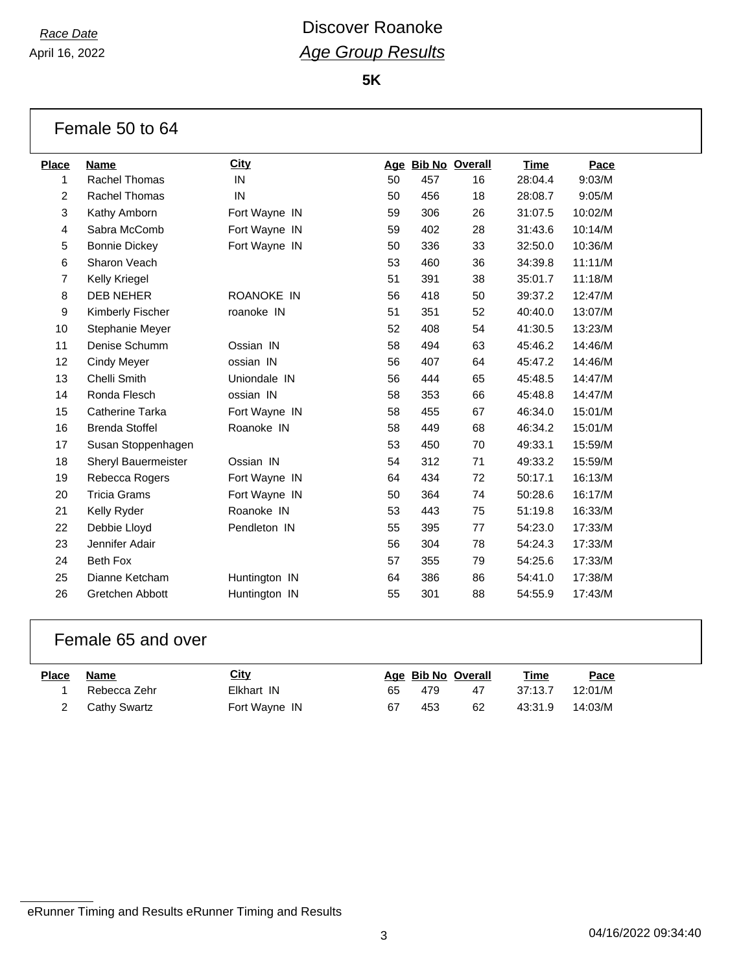### *Race Date* **Discover Roanoke** *Age Group Results*

**5K**

|                  | Female 50 to 64            |                   |    |     |                    |         |         |
|------------------|----------------------------|-------------------|----|-----|--------------------|---------|---------|
| <b>Place</b>     | Name                       | <b>City</b>       |    |     | Age Bib No Overall | Time    | Pace    |
| 1                | <b>Rachel Thomas</b>       | IN                | 50 | 457 | 16                 | 28:04.4 | 9:03/M  |
| $\overline{2}$   | <b>Rachel Thomas</b>       | IN                | 50 | 456 | 18                 | 28:08.7 | 9:05/M  |
| 3                | Kathy Amborn               | Fort Wayne IN     | 59 | 306 | 26                 | 31:07.5 | 10:02/M |
| $\overline{4}$   | Sabra McComb               | Fort Wayne IN     | 59 | 402 | 28                 | 31:43.6 | 10:14/M |
| 5                | <b>Bonnie Dickey</b>       | Fort Wayne IN     | 50 | 336 | 33                 | 32:50.0 | 10:36/M |
| 6                | Sharon Veach               |                   | 53 | 460 | 36                 | 34:39.8 | 11:11/M |
| $\overline{7}$   | <b>Kelly Kriegel</b>       |                   | 51 | 391 | 38                 | 35:01.7 | 11:18/M |
| 8                | <b>DEB NEHER</b>           | <b>ROANOKE IN</b> | 56 | 418 | 50                 | 39:37.2 | 12:47/M |
| $\boldsymbol{9}$ | Kimberly Fischer           | roanoke IN        | 51 | 351 | 52                 | 40:40.0 | 13:07/M |
| 10               | Stephanie Meyer            |                   | 52 | 408 | 54                 | 41:30.5 | 13:23/M |
| 11               | Denise Schumm              | Ossian IN         | 58 | 494 | 63                 | 45:46.2 | 14:46/M |
| 12               | <b>Cindy Meyer</b>         | ossian IN         | 56 | 407 | 64                 | 45:47.2 | 14:46/M |
| 13               | Chelli Smith               | Uniondale IN      | 56 | 444 | 65                 | 45:48.5 | 14:47/M |
| 14               | Ronda Flesch               | ossian IN         | 58 | 353 | 66                 | 45:48.8 | 14:47/M |
| 15               | Catherine Tarka            | Fort Wayne IN     | 58 | 455 | 67                 | 46:34.0 | 15:01/M |
| 16               | <b>Brenda Stoffel</b>      | Roanoke IN        | 58 | 449 | 68                 | 46:34.2 | 15:01/M |
| 17               | Susan Stoppenhagen         |                   | 53 | 450 | 70                 | 49:33.1 | 15:59/M |
| 18               | <b>Sheryl Bauermeister</b> | Ossian IN         | 54 | 312 | 71                 | 49:33.2 | 15:59/M |
| 19               | Rebecca Rogers             | Fort Wayne IN     | 64 | 434 | 72                 | 50:17.1 | 16:13/M |
| 20               | <b>Tricia Grams</b>        | Fort Wayne IN     | 50 | 364 | 74                 | 50:28.6 | 16:17/M |
| 21               | Kelly Ryder                | Roanoke IN        | 53 | 443 | 75                 | 51:19.8 | 16:33/M |
| 22               | Debbie Lloyd               | Pendleton IN      | 55 | 395 | 77                 | 54:23.0 | 17:33/M |
| 23               | Jennifer Adair             |                   | 56 | 304 | 78                 | 54:24.3 | 17:33/M |
| 24               | Beth Fox                   |                   | 57 | 355 | 79                 | 54:25.6 | 17:33/M |
| 25               | Dianne Ketcham             | Huntington IN     | 64 | 386 | 86                 | 54:41.0 | 17:38/M |
| 26               | Gretchen Abbott            | Huntington IN     | 55 | 301 | 88                 | 54:55.9 | 17:43/M |

#### Female 65 and over

| <b>Place Name</b> |                | <b>City</b>   |    | Age Bib No Overall |    | <u>Time</u> | Pace    |
|-------------------|----------------|---------------|----|--------------------|----|-------------|---------|
|                   | Rebecca Zehr   | Elkhart IN    | 65 | 479                | 47 | 37:13.7     | 12:01/M |
|                   | 2 Cathy Swartz | Fort Wayne IN | 67 | 453                | 62 | 43:31.9     | 14:03/M |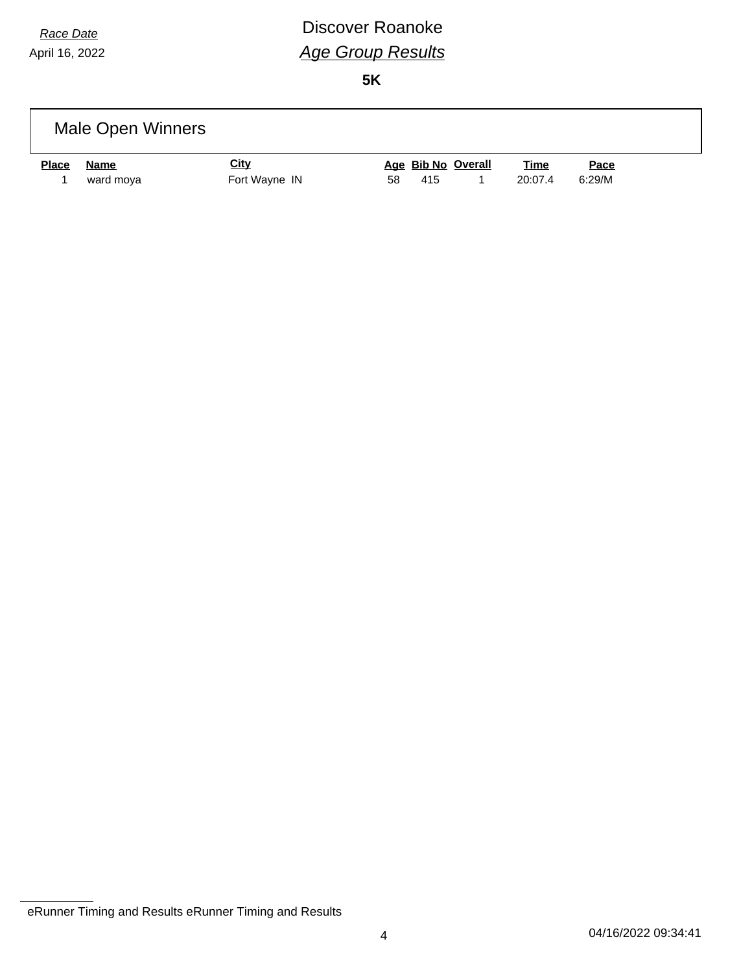# *Race Date* **Discover Roanoke** *Age Group Results*

|              | Male Open Winners |                              |    |     |                    |                        |                |  |
|--------------|-------------------|------------------------------|----|-----|--------------------|------------------------|----------------|--|
| <b>Place</b> | Name<br>ward moya | <u>City</u><br>Fort Wayne IN | 58 | 415 | Age Bib No Overall | <b>Time</b><br>20:07.4 | Pace<br>6:29/M |  |

eRunner Timing and Results eRunner Timing and Results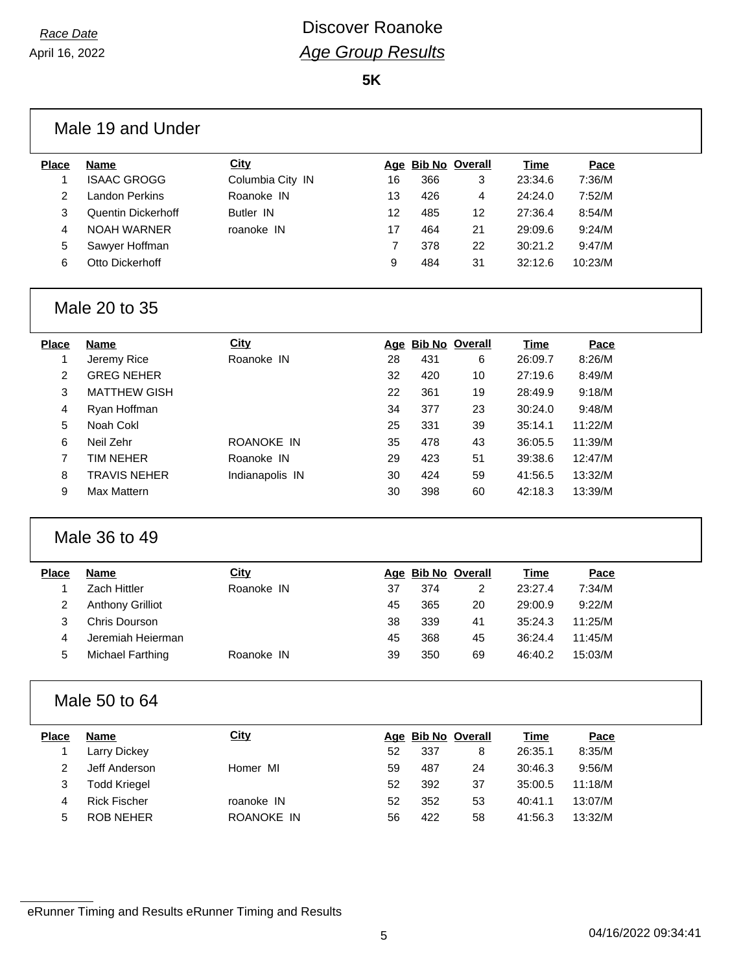### *Race Date* **Discover Roanoke** *Age Group Results*

**5K**

|                | Male 19 and Under         |                  |                |                    |                |             |         |  |
|----------------|---------------------------|------------------|----------------|--------------------|----------------|-------------|---------|--|
| <b>Place</b>   | <b>Name</b>               | <b>City</b>      |                | Age Bib No Overall |                | <b>Time</b> | Pace    |  |
| $\mathbf{1}$   | <b>ISAAC GROGG</b>        | Columbia City IN | 16             | 366                | 3              | 23:34.6     | 7:36/M  |  |
| $\overline{2}$ | <b>Landon Perkins</b>     | Roanoke IN       | 13             | 426                | 4              | 24:24.0     | 7:52/M  |  |
| 3              | <b>Quentin Dickerhoff</b> | Butler IN        | 12             | 485                | 12             | 27:36.4     | 8:54/M  |  |
| 4              | <b>NOAH WARNER</b>        | roanoke IN       | 17             | 464                | 21             | 29:09.6     | 9:24/M  |  |
| 5              | Sawyer Hoffman            |                  | $\overline{7}$ | 378                | 22             | 30:21.2     | 9:47/M  |  |
| 6              | Otto Dickerhoff           |                  | 9              | 484                | 31             | 32:12.6     | 10:23/M |  |
|                | Male 20 to 35             |                  |                |                    |                |             |         |  |
| <b>Place</b>   | <b>Name</b>               | <b>City</b>      |                | Age Bib No Overall |                | <b>Time</b> | Pace    |  |
| 1              | Jeremy Rice               | Roanoke IN       | 28             | 431                | 6              | 26:09.7     | 8:26/M  |  |
| 2              | <b>GREG NEHER</b>         |                  | 32             | 420                | 10             | 27:19.6     | 8:49/M  |  |
| 3              | <b>MATTHEW GISH</b>       |                  | 22             | 361                | 19             | 28:49.9     | 9:18/M  |  |
| 4              | Ryan Hoffman              |                  | 34             | 377                | 23             | 30:24.0     | 9:48/M  |  |
| 5              | Noah Cokl                 |                  | 25             | 331                | 39             | 35:14.1     | 11:22/M |  |
| 6              | Neil Zehr                 | ROANOKE IN       | 35             | 478                | 43             | 36:05.5     | 11:39/M |  |
| $\overline{7}$ | <b>TIM NEHER</b>          | Roanoke IN       | 29             | 423                | 51             | 39:38.6     | 12:47/M |  |
| 8              | <b>TRAVIS NEHER</b>       | Indianapolis IN  | 30             | 424                | 59             | 41:56.5     | 13:32/M |  |
| 9              | Max Mattern               |                  | 30             | 398                | 60             | 42:18.3     | 13:39/M |  |
|                | Male 36 to 49             |                  |                |                    |                |             |         |  |
| <b>Place</b>   | <b>Name</b>               | <b>City</b>      |                | Age Bib No Overall |                | <b>Time</b> | Pace    |  |
| 1              | Zach Hittler              | Roanoke IN       | 37             | 374                | $\overline{c}$ | 23:27.4     | 7:34/M  |  |
| $\overline{2}$ | <b>Anthony Grilliot</b>   |                  | 45             | 365                | 20             | 29:00.9     | 9:22/M  |  |
| 3              | <b>Chris Dourson</b>      |                  | 38             | 339                | 41             | 35:24.3     | 11:25/M |  |
| 4              | Jeremiah Heierman         |                  | 45             | 368                | 45             | 36:24.4     | 11:45/M |  |
| 5              | <b>Michael Farthing</b>   | Roanoke IN       | 39             | 350                | 69             | 46:40.2     | 15:03/M |  |
|                | Male 50 to 64             |                  |                |                    |                |             |         |  |
| Place          | <b>Name</b>               | <b>City</b>      |                | Age Bib No Overall |                | <b>Time</b> | Pace    |  |
| 1              | <b>Larry Dickey</b>       |                  | 52             | 337                | 8              | 26:35.1     | 8:35/M  |  |
| $\overline{2}$ | Jeff Anderson             | Homer MI         | 59             | 487                | 24             | 30:46.3     | 9:56/M  |  |
| 3              | <b>Todd Kriegel</b>       |                  | 52             | 392                | 37             | 35:00.5     | 11:18/M |  |
| 4              | <b>Rick Fischer</b>       | roanoke IN       | 52             | 352                | 53             | 40:41.1     | 13:07/M |  |
| 5              | <b>ROB NEHER</b>          | ROANOKE IN       | 56             | 422                | 58             | 41:56.3     | 13:32/M |  |
|                |                           |                  |                |                    |                |             |         |  |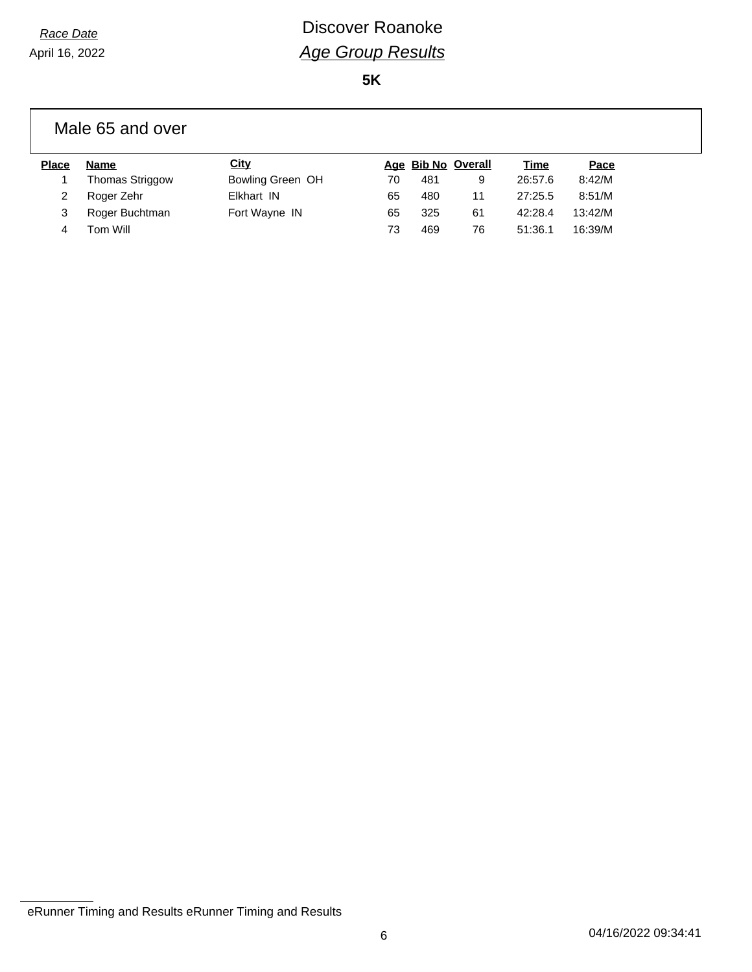# *Race Date* **Discover Roanoke** *Age Group Results*

**5K**

#### Male 65 and over

| <b>Place</b> | <b>Name</b>            | <u>City</u>      |    | Age Bib No Overall |    | <u>Time</u> | Pace    |
|--------------|------------------------|------------------|----|--------------------|----|-------------|---------|
|              | <b>Thomas Striggow</b> | Bowling Green OH | 70 | 481                | 9  | 26:57.6     | 8:42/M  |
|              | Roger Zehr             | Elkhart IN       | 65 | 480                | 11 | 27:25.5     | 8:51/M  |
|              | Roger Buchtman         | Fort Wayne IN    | 65 | 325                | 61 | 42:28.4     | 13:42/M |
|              | Tom Will               |                  | 73 | 469                | 76 | 51:36.1     | 16:39/M |

eRunner Timing and Results eRunner Timing and Results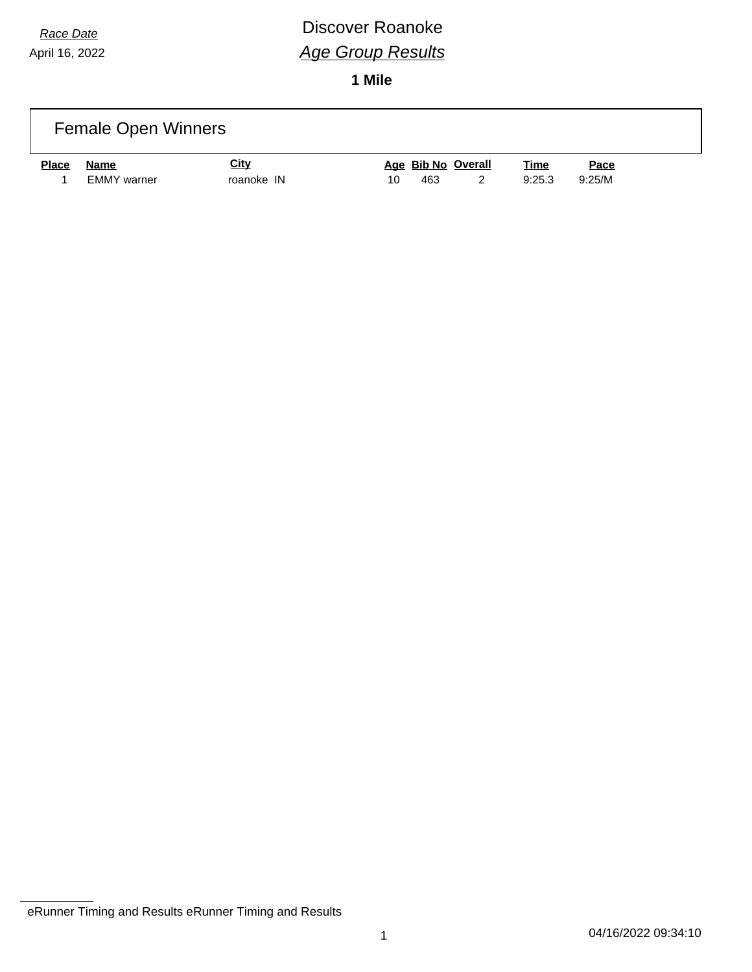## *Race Date* **Discover Roanoke** *Age Group Results*

**1 Mile**

|              | <b>Female Open Winners</b> |                           |    |     |                    |                       |                |  |
|--------------|----------------------------|---------------------------|----|-----|--------------------|-----------------------|----------------|--|
| <b>Place</b> | Name<br>EMMY warner        | <u>City</u><br>roanoke IN | 10 | 463 | Age Bib No Overall | <u>Time</u><br>9:25.3 | Pace<br>9:25/M |  |

eRunner Timing and Results eRunner Timing and Results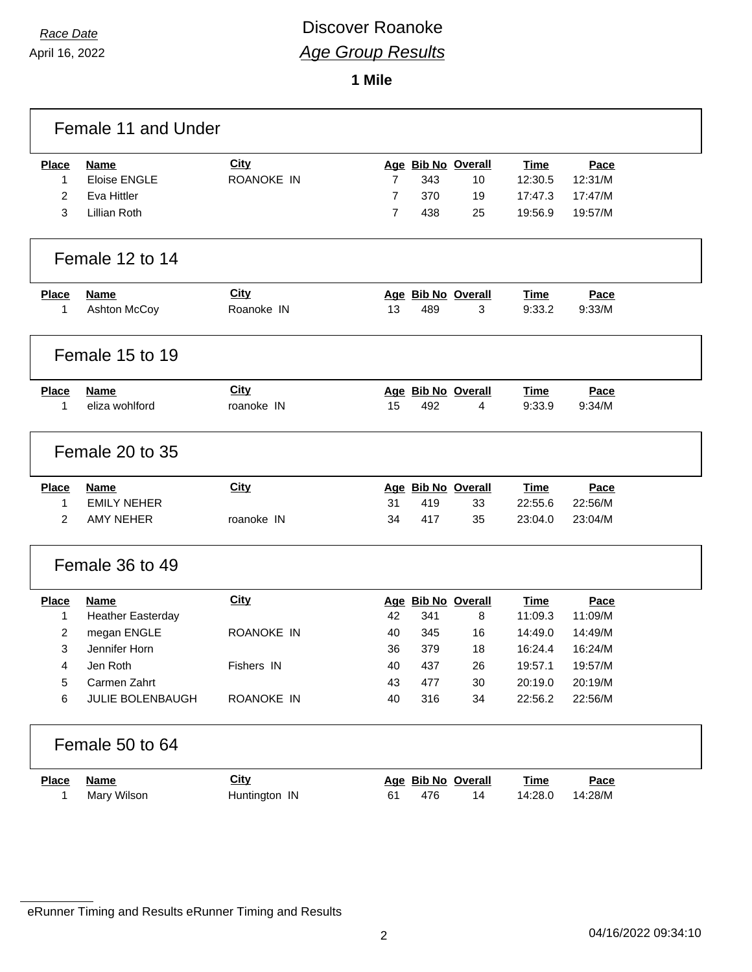### *Race Date* **Discover Roanoke** *Age Group Results*

**1 Mile**

| Female 11 and Under |                          |                   |                |     |                    |             |         |  |  |
|---------------------|--------------------------|-------------------|----------------|-----|--------------------|-------------|---------|--|--|
| <b>Place</b>        | <b>Name</b>              | <b>City</b>       |                |     | Age Bib No Overall | Time        | Pace    |  |  |
| 1                   | <b>Eloise ENGLE</b>      | <b>ROANOKE IN</b> | $\overline{7}$ | 343 | 10                 | 12:30.5     | 12:31/M |  |  |
| $\overline{2}$      | Eva Hittler              |                   | $\overline{7}$ | 370 | 19                 | 17:47.3     | 17:47/M |  |  |
| 3                   | Lillian Roth             |                   | $\overline{7}$ | 438 | 25                 | 19:56.9     | 19:57/M |  |  |
|                     | Female 12 to 14          |                   |                |     |                    |             |         |  |  |
| <b>Place</b>        | <b>Name</b>              | City              |                |     | Age Bib No Overall | Time        | Pace    |  |  |
| 1                   | Ashton McCoy             | Roanoke IN        | 13             | 489 | 3                  | 9:33.2      | 9:33/M  |  |  |
|                     | Female 15 to 19          |                   |                |     |                    |             |         |  |  |
| <b>Place</b>        | <b>Name</b>              | <b>City</b>       |                |     | Age Bib No Overall | Time        | Pace    |  |  |
| 1                   | eliza wohlford           | roanoke IN        | 15             | 492 | 4                  | 9:33.9      | 9:34/M  |  |  |
|                     | Female 20 to 35          |                   |                |     |                    |             |         |  |  |
| <b>Place</b>        | <b>Name</b>              | City              |                |     | Age Bib No Overall | <b>Time</b> | Pace    |  |  |
| 1                   | <b>EMILY NEHER</b>       |                   | 31             | 419 | 33                 | 22:55.6     | 22:56/M |  |  |
| $\overline{2}$      | <b>AMY NEHER</b>         | roanoke IN        | 34             | 417 | 35                 | 23:04.0     | 23:04/M |  |  |
| Female 36 to 49     |                          |                   |                |     |                    |             |         |  |  |
| <b>Place</b>        | <b>Name</b>              | <b>City</b>       |                |     | Age Bib No Overall | Time        | Pace    |  |  |
| $\mathbf{1}$        | <b>Heather Easterday</b> |                   | 42             | 341 | 8                  | 11:09.3     | 11:09/M |  |  |
| 2                   | megan ENGLE              | <b>ROANOKE IN</b> | 40             | 345 | 16                 | 14:49.0     | 14:49/M |  |  |
| 3                   | Jennifer Horn            |                   | 36             | 379 | 18                 | 16:24.4     | 16:24/M |  |  |
| 4                   | Jen Roth                 | Fishers IN        | 40             | 437 | 26                 | 19:57.1     | 19:57/M |  |  |
| 5                   | Carmen Zahrt             |                   | 43             | 477 | 30                 | 20:19.0     | 20:19/M |  |  |
| 6                   | JULIE BOLENBAUGH         | ROANOKE IN        | 40             | 316 | 34                 | 22:56.2     | 22:56/M |  |  |
| Female 50 to 64     |                          |                   |                |     |                    |             |         |  |  |
| <b>Place</b>        | <b>Name</b>              | <b>City</b>       |                |     | Age Bib No Overall | <b>Time</b> | Pace    |  |  |
| 1                   | Mary Wilson              | Huntington IN     | 61             | 476 | 14                 | 14:28.0     | 14:28/M |  |  |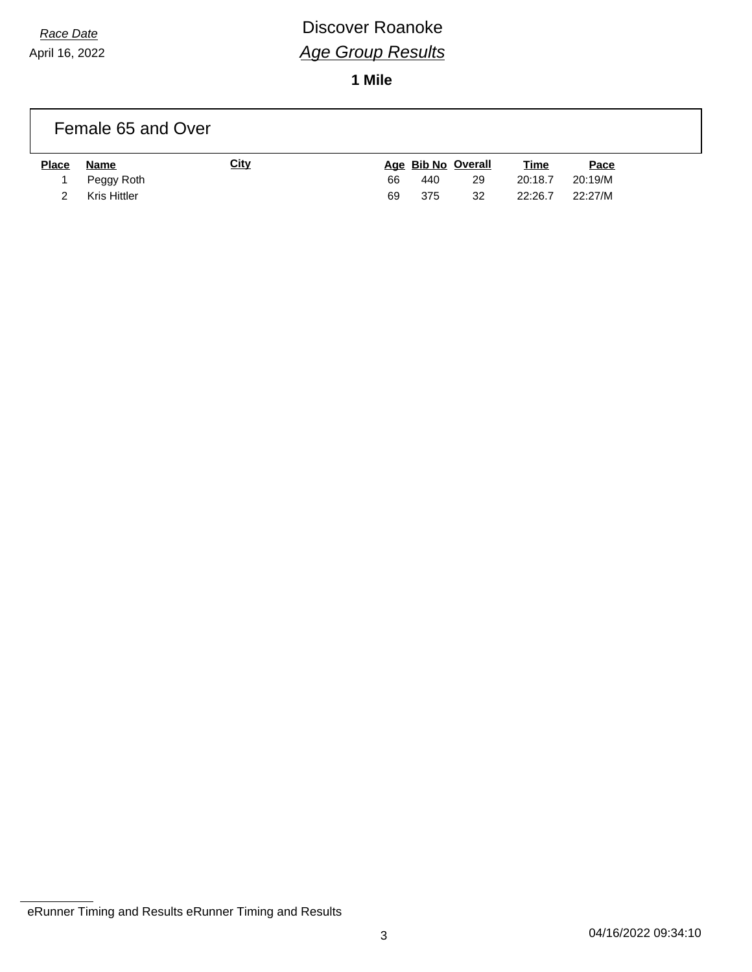## *Race Date* **Discover Roanoke** *Age Group Results*

**1 Mile**

|              | Female 65 and Over  |             |    |     |                    |             |         |  |
|--------------|---------------------|-------------|----|-----|--------------------|-------------|---------|--|
| <b>Place</b> | Name                | <u>City</u> |    |     | Age Bib No Overall | <b>Time</b> | Pace    |  |
|              | Peggy Roth          |             | 66 | 440 | 29                 | 20:18.7     | 20:19/M |  |
|              | <b>Kris Hittler</b> |             | 69 | 375 | 32                 | 22:26.7     | 22:27/M |  |

eRunner Timing and Results eRunner Timing and Results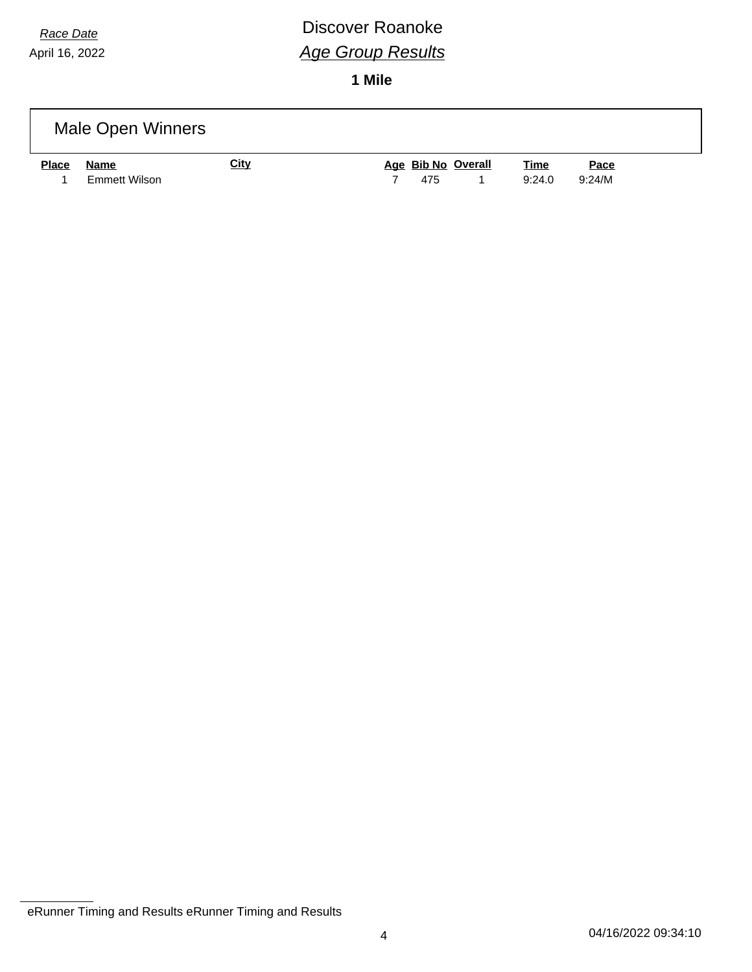## *Race Date* **Discover Roanoke** *Age Group Results*

**1 Mile**

|              | Male Open Winners            |             |     |                    |                       |                |
|--------------|------------------------------|-------------|-----|--------------------|-----------------------|----------------|
| <b>Place</b> | Name<br><b>Emmett Wilson</b> | <u>City</u> | 475 | Age Bib No Overall | <b>Time</b><br>9:24.0 | Pace<br>9:24/M |

eRunner Timing and Results eRunner Timing and Results